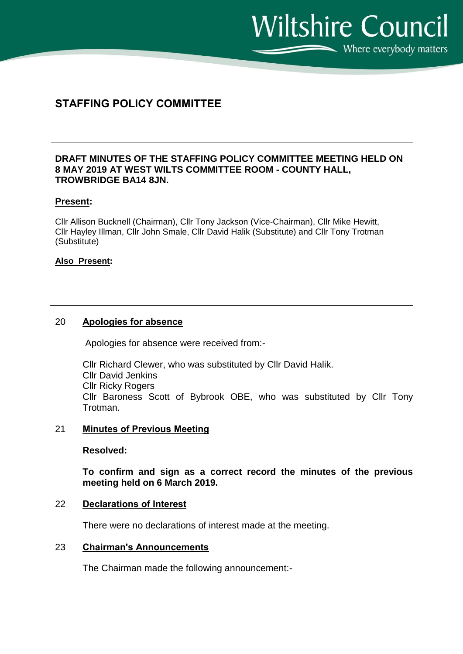$\sum$  Where everybody matters

**Wiltshire Council** 

# **STAFFING POLICY COMMITTEE**

### **DRAFT MINUTES OF THE STAFFING POLICY COMMITTEE MEETING HELD ON 8 MAY 2019 AT WEST WILTS COMMITTEE ROOM - COUNTY HALL, TROWBRIDGE BA14 8JN.**

### **Present:**

Cllr Allison Bucknell (Chairman), Cllr Tony Jackson (Vice-Chairman), Cllr Mike Hewitt, Cllr Hayley Illman, Cllr John Smale, Cllr David Halik (Substitute) and Cllr Tony Trotman (Substitute)

### **Also Present:**

### 20 **Apologies for absence**

Apologies for absence were received from:-

Cllr Richard Clewer, who was substituted by Cllr David Halik. Cllr David Jenkins Cllr Ricky Rogers Cllr Baroness Scott of Bybrook OBE, who was substituted by Cllr Tony Trotman.

### 21 **Minutes of Previous Meeting**

**Resolved:**

**To confirm and sign as a correct record the minutes of the previous meeting held on 6 March 2019.** 

### 22 **Declarations of Interest**

There were no declarations of interest made at the meeting.

### 23 **Chairman's Announcements**

The Chairman made the following announcement:-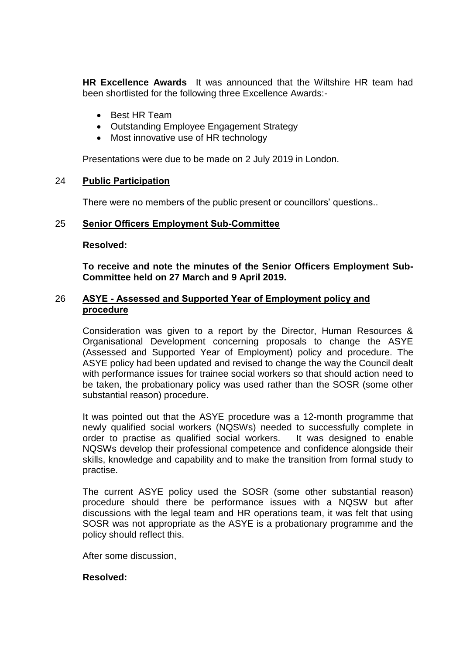**HR Excellence Awards** It was announced that the Wiltshire HR team had been shortlisted for the following three Excellence Awards:-

- Best HR Team
- Outstanding Employee Engagement Strategy
- Most innovative use of HR technology

Presentations were due to be made on 2 July 2019 in London.

### 24 **Public Participation**

There were no members of the public present or councillors' questions..

# 25 **Senior Officers Employment Sub-Committee**

### **Resolved:**

**To receive and note the minutes of the Senior Officers Employment Sub-Committee held on 27 March and 9 April 2019.**

# 26 **ASYE - Assessed and Supported Year of Employment policy and procedure**

Consideration was given to a report by the Director, Human Resources & Organisational Development concerning proposals to change the ASYE (Assessed and Supported Year of Employment) policy and procedure. The ASYE policy had been updated and revised to change the way the Council dealt with performance issues for trainee social workers so that should action need to be taken, the probationary policy was used rather than the SOSR (some other substantial reason) procedure.

It was pointed out that the ASYE procedure was a 12-month programme that newly qualified social workers (NQSWs) needed to successfully complete in order to practise as qualified social workers. It was designed to enable NQSWs develop their professional competence and confidence alongside their skills, knowledge and capability and to make the transition from formal study to practise.

The current ASYE policy used the SOSR (some other substantial reason) procedure should there be performance issues with a NQSW but after discussions with the legal team and HR operations team, it was felt that using SOSR was not appropriate as the ASYE is a probationary programme and the policy should reflect this.

After some discussion,

# **Resolved:**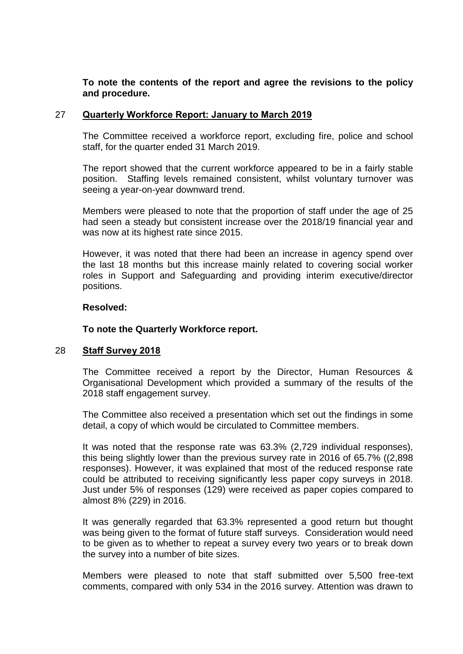# **To note the contents of the report and agree the revisions to the policy and procedure.**

### 27 **Quarterly Workforce Report: January to March 2019**

The Committee received a workforce report, excluding fire, police and school staff, for the quarter ended 31 March 2019.

The report showed that the current workforce appeared to be in a fairly stable position. Staffing levels remained consistent, whilst voluntary turnover was seeing a year-on-year downward trend.

Members were pleased to note that the proportion of staff under the age of 25 had seen a steady but consistent increase over the 2018/19 financial year and was now at its highest rate since 2015.

However, it was noted that there had been an increase in agency spend over the last 18 months but this increase mainly related to covering social worker roles in Support and Safeguarding and providing interim executive/director positions.

### **Resolved:**

### **To note the Quarterly Workforce report.**

# 28 **Staff Survey 2018**

The Committee received a report by the Director, Human Resources & Organisational Development which provided a summary of the results of the 2018 staff engagement survey.

The Committee also received a presentation which set out the findings in some detail, a copy of which would be circulated to Committee members.

It was noted that the response rate was 63.3% (2,729 individual responses), this being slightly lower than the previous survey rate in 2016 of 65.7% ((2,898 responses). However, it was explained that most of the reduced response rate could be attributed to receiving significantly less paper copy surveys in 2018. Just under 5% of responses (129) were received as paper copies compared to almost 8% (229) in 2016.

It was generally regarded that 63.3% represented a good return but thought was being given to the format of future staff surveys. Consideration would need to be given as to whether to repeat a survey every two years or to break down the survey into a number of bite sizes.

Members were pleased to note that staff submitted over 5,500 free-text comments, compared with only 534 in the 2016 survey. Attention was drawn to